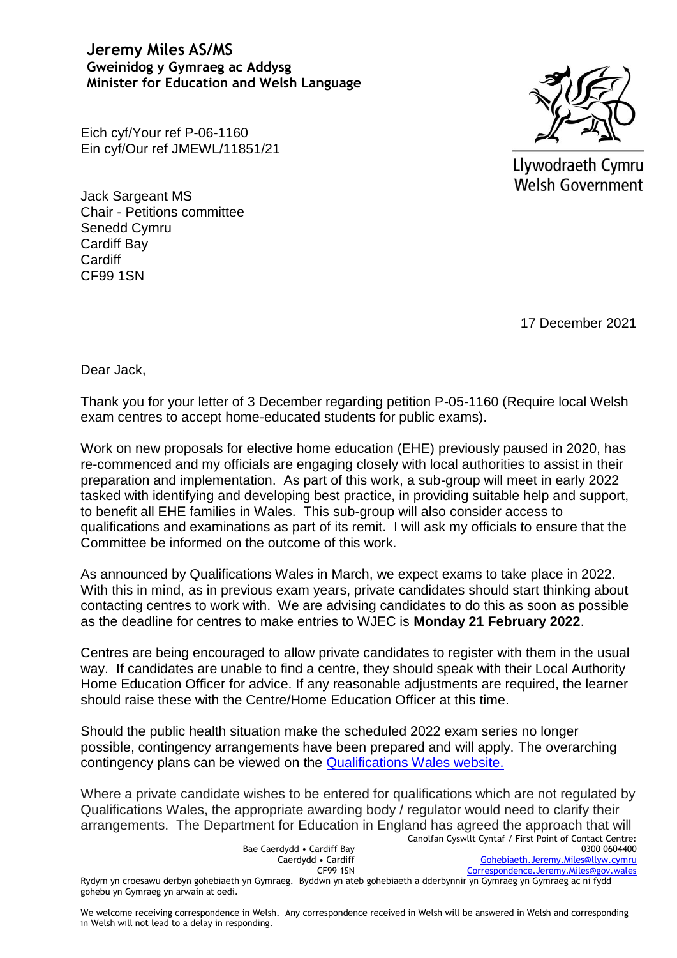**Jeremy Miles AS/MS Gweinidog y Gymraeg ac Addysg Minister for Education and Welsh Language** 

Llywodraeth Cymru Welsh Government

Eich cyf/Your ref P-06-1160 Ein cyf/Our ref JMEWL/11851/21

Jack Sargeant MS Chair - Petitions committee Senedd Cymru Cardiff Bay **Cardiff** CF99 1SN

17 December 2021

Dear Jack,

Thank you for your letter of 3 December regarding petition P-05-1160 (Require local Welsh exam centres to accept home-educated students for public exams).

Work on new proposals for elective home education (EHE) previously paused in 2020, has re-commenced and my officials are engaging closely with local authorities to assist in their preparation and implementation. As part of this work, a sub-group will meet in early 2022 tasked with identifying and developing best practice, in providing suitable help and support, to benefit all EHE families in Wales. This sub-group will also consider access to qualifications and examinations as part of its remit. I will ask my officials to ensure that the Committee be informed on the outcome of this work.

As announced by Qualifications Wales in March, we expect exams to take place in 2022. With this in mind, as in previous exam years, private candidates should start thinking about contacting centres to work with. We are advising candidates to do this as soon as possible as the deadline for centres to make entries to WJEC is **Monday 21 February 2022**.

Centres are being encouraged to allow private candidates to register with them in the usual way. If candidates are unable to find a centre, they should speak with their Local Authority Home Education Officer for advice. If any reasonable adjustments are required, the learner should raise these with the Centre/Home Education Officer at this time.

Should the public health situation make the scheduled 2022 exam series no longer possible, contingency arrangements have been prepared and will apply. The overarching contingency plans can be viewed on the [Qualifications Wales website.](https://eur01.safelinks.protection.outlook.com/?url=https%3A%2F%2Fwww.qualificationswales.org%2Fenglish%2Fpublications%2Fsummer-2022-guidance-on-contingency-assessment-arrangements-for-approved-gcses-as-and-a-levels%2F&data=04%7C01%7CMike.Keoghane%40gov.wales%7Ceff116d0e7d04c05207408d9baf715db%7Ca2cc36c592804ae78887d06dab89216b%7C0%7C0%7C637746392642324923%7CUnknown%7CTWFpbGZsb3d8eyJWIjoiMC4wLjAwMDAiLCJQIjoiV2luMzIiLCJBTiI6Ik1haWwiLCJXVCI6Mn0%3D%7C3000&sdata=GiIhK9PaFwRFyd4PfW%2BcKWcwn4D2%2BHg1PA1uIKqnx%2Fw%3D&reserved=0)

Where a private candidate wishes to be entered for qualifications which are not regulated by Qualifications Wales, the appropriate awarding body / regulator would need to clarify their arrangements. The Department for Education in England has agreed the approach that will

|                                                                                                                         | Canolfan Cyswllt Cyntaf / First Point of Contact Centre: |
|-------------------------------------------------------------------------------------------------------------------------|----------------------------------------------------------|
| Bae Caerdydd • Cardiff Bay                                                                                              | 0300 0604400                                             |
| Caerdydd • Cardiff                                                                                                      | Gohebiaeth.Jeremy.Miles@llyw.cymru                       |
| <b>CF99 1SN</b>                                                                                                         | Correspondence.Jeremy.Miles@gov.wales                    |
| Rydym yn croesawu derbyn gohebiaeth yn Gymraeg. Byddwn yn ateb gohebiaeth a dderbynnir yn Gymraeg yn Gymraeg ac ni fydd |                                                          |
| gohebu yn Gymraeg yn arwain at oedi.                                                                                    |                                                          |

We welcome receiving correspondence in Welsh. Any correspondence received in Welsh will be answered in Welsh and corresponding in Welsh will not lead to a delay in responding.